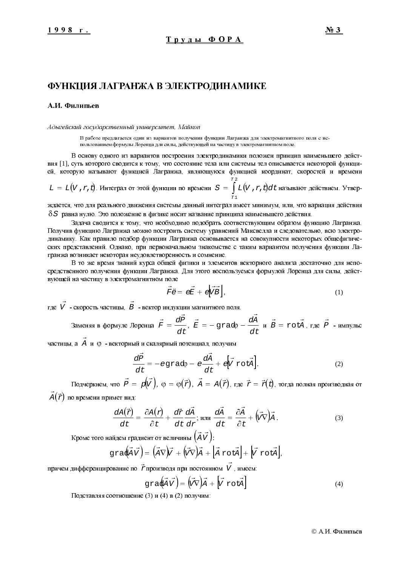## ФУНКЦИЯ ЛАГРАНЖА В ЭЛЕКТРОДИНАМИКЕ

#### А.И. Филипьев

#### Адыгейский государственный университет, Майкоп

В работе предлагается один из вариантов получения функции Лагранжа для электромагнитного поля с использованием формулы Лоренца для силы, действующей на частицу в электромагнитном поле.

В основу одного из вариантов построения электродинамики положен принцип наименьшего действия [1], суть которого сводится к тому, что состояние тела или системы тел описывается некоторой функцией, которую называют функцией Лагранжа, являющуюся функцией координат, скоростей и времени

$$
L = L(V, r, t).
$$
Интеграл от этой функции по времени  $S = \int_{r_1}^{r_2} L(V, r, t) dt$  называют действнем. Утвер-

ждается, что для реального движения системы данный интеграл имеет минимум, или, что вариация действия  $\delta S$  равна нулю. Это положение в физике носит название принципа наименьшего действия.

Задача сводится к тому, что необходимо подобрать соответствующим образом функцию Лагранжа. Получив функцию Лагранжа можно построить систему уравнений Максвелла и следовательно, всю электродинамику. Как правило подбор функции Лагранжа основывается на совокупности некоторых общефизических представлений. Однако, при первоначальном знакомстве с таким вариантом получения функции Лагранжа возникает некоторая неудовлетворенность и сомнение.

В то же время знаний курса общей физики и элементов векторного анализа достаточно для непосредственного получения функции Лагранжа. Для этого воспользуемся формулой Лоренца для силы, действующей на частицу в электромагнитном поле

$$
\vec{F}\vec{e} = \vec{eE} + \vec{e} \vec{V} \vec{B} \,, \tag{1}
$$

где  $\vec{V}$  - скорость частицы,  $\vec{B}$  - вектор индукции магнитного поля.

Замения в формуле Лоренца 
$$
\vec{F} = \frac{dP}{dt}
$$
,  $\vec{E} = -\text{grad}p - \frac{dA}{dt} \cdot \vec{B} = \text{rot}\vec{A}$ , где  $\vec{P}$  - импульс

частицы, а А и 0 - векторный и скалярный потенциал, получим

$$
\frac{d\vec{P}}{dt} = -eg\,\text{rad}\varphi - e\frac{d\vec{A}}{dt} + e\left[\vec{V}\,\text{rot}\vec{A}\right].\tag{2}
$$

Подчеркнем, что  $\vec{P} = p(\vec{V})$ ,  $\varphi = \varphi(\vec{r})$ ,  $\vec{A} = A(\vec{r})$ , где  $\vec{r} = \vec{r}(t)$ , тогда полная производная от

 $A(\vec{r})$  по времени примет вид:

$$
\frac{dA(\vec{r})}{dt} = \frac{\partial A(r)}{\partial t} + \frac{d\vec{r}}{dt}\frac{d\vec{A}}{dr}; \text{ with } \frac{d\vec{A}}{dt} = \frac{\partial \vec{A}}{\partial t} + (\vec{v}\nabla)\vec{A}.
$$
 (3)

Кроме того найдем градиент от величины  $(\vec{A} \vec{V})$ :

$$
\text{grad}(\vec{A}\vec{V}) = (\vec{A}\nabla)\vec{V} + (\vec{V}\nabla)\vec{A} + [\vec{A}\text{rot}\vec{A}] + [\vec{V}\text{rot}\vec{A}].
$$

причем дифференцирование по  $\vec{r}$ производя при постоянном  $\vec{V}$ , имеем:

$$
\text{grad} \vec{A} \vec{V} = (\vec{V} \vec{\nabla}) \vec{A} + [\vec{V} \text{ rot} \vec{A}]
$$
 (4)

Подставляя соотношение (3) и (4) в (2) получим: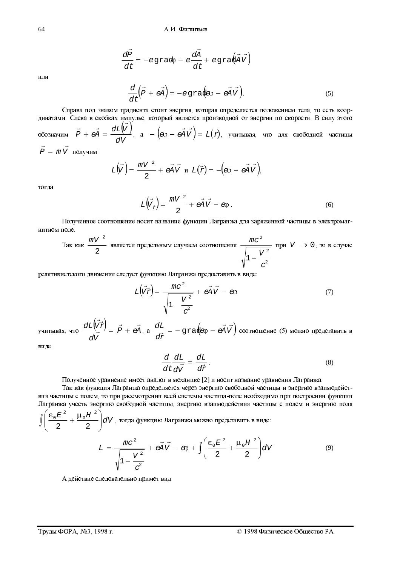$\frac{d\vec{P}}{dt} = -egrad\varphi - e\frac{d\vec{A}}{dt} + egrad\vec{A}\vec{V}$ 

64

$$
\mathbf{M}\mathbf{J}\mathbf{M}
$$

$$
\frac{d}{dt}\left(\vec{P} + \vec{eA}\right) = -egra\left(\vec{e}\phi - \vec{eA}\vec{V}\right).
$$
\n(5)

Справа под знаком градиента стоит энергия, которая определяется положением тела, то есть координатами. Слева в скобках импульс, который является производной от энергии по скорости. В силу этого обозначим  $\vec{P} + \vec{eA} = \frac{dL(\vec{V})}{dV}$ , а  $- (\vec{e}\rho - \vec{eA}\vec{V}) = L(r)$ , учитывая, что для свободной частицы  $\vec{P} = m \vec{V}$  получим:

$$
L(\vec{V}) = \frac{mV^2}{2} + \vec{eA} \vec{V} \text{ if } L(\vec{r}) = -(\vec{e}\rho - \vec{eA} \vec{V}),
$$

тогла:

$$
L(\vec{V}_{\vec{r}}) = \frac{mV^2}{2} + e\vec{A}\vec{V} - e\varphi.
$$
 (6)

Полученное соотношение носит название функции Лагранжа для заряженной частицы в электромагнитном поле.

$$
\text{Так как } \frac{mV^2}{2} \text{ является предельным служеом соотношения } \frac{mc^2}{\sqrt{1-\frac{V^2}{c^2}}} \text{ при } V \to 0, \text{ то в служе}
$$

релятивистского движения следует функцию Лагранжа предоставить в виде:

$$
L(\vec{V}\vec{x}) = \frac{mc^2}{\sqrt{1 - \frac{V^2}{c^2}}} + \vec{eA}\vec{V} - \epsilon \varphi
$$
 (7)

учитывая, что  $\frac{dL(\vec{V}\vec{x})}{d\vec{V}} = \vec{P} + \vec{eA}$ , а  $\frac{dL}{d\vec{r}} = -\text{grad}\vec{e}\phi - \vec{eA}\vec{V}$  соотношение (5) можно представить в

виде:

$$
\frac{d}{dt}\frac{dL}{d\vec{v}} = \frac{dL}{d\vec{r}}.
$$
\n(8)

Полученное уравнение имеет аналог в механике [2] и носит название уравнения Лагранжа.

Так как функция Лагранжа определяется через энергию свободной частицы и энергию взаимодействия частицы с полем, то при рассмотрении всей системы частица-поле необходимо при построении функции Лагранжа учесть энергию свободной частицы, энергию взаимодействия частицы с полем и энергию поля  $\int \left( \frac{\epsilon_0 E^2}{2} + \frac{\mu_0 H^2}{2} \right) dV$ , тогда функцию Лагранжа можно представить в виде:

$$
L = \frac{mc^2}{\sqrt{1 - \frac{V^2}{c^2}}} + e\vec{A}\vec{V} - \varphi + \int \left(\frac{\varepsilon_0 E^2}{2} + \frac{\mu_0 H^2}{2}\right) dV
$$
(9)

А действие следовательно примет вид: